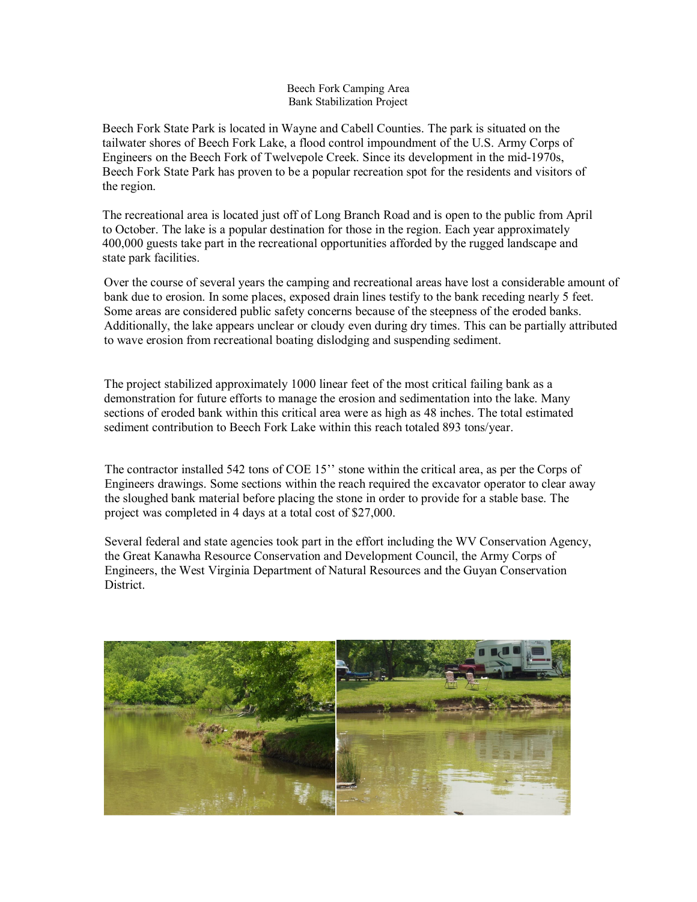## Beech Fork Camping Area Bank Stabilization Project

Beech Fork State Park is located in Wayne and Cabell Counties. The park is situated on the tailwater shores of Beech Fork Lake, a flood control impoundment of the U.S. Army Corps of Engineers on the Beech Fork of Twelvepole Creek. Since its development in the mid-1970s, Beech Fork State Park has proven to be a popular recreation spot for the residents and visitors of the region.

The recreational area is located just off of Long Branch Road and is open to the public from April to October. The lake is a popular destination for those in the region. Each year approximately 400,000 guests take part in the recreational opportunities afforded by the rugged landscape and state park facilities.

Over the course of several years the camping and recreational areas have lost a considerable amount of bank due to erosion. In some places, exposed drain lines testify to the bank receding nearly 5 feet. Some areas are considered public safety concerns because of the steepness of the eroded banks. Additionally, the lake appears unclear or cloudy even during dry times. This can be partially attributed to wave erosion from recreational boating dislodging and suspending sediment.

 The project stabilized approximately 1000 linear feet of the most critical failing bank as a sections of eroded bank within this critical area were as high as 48 inches. The total estimated demonstration for future efforts to manage the erosion and sedimentation into the lake. Many sediment contribution to Beech Fork Lake within this reach totaled 893 tons/year.

 $\overline{a}$ The contractor installed 542 tons of COE 15'' stone within the critical area, as per the Corps of Engineers drawings. Some sections within the reach required the excavator operator to clear away the sloughed bank material before placing the stone in order to provide for a stable base. The project was completed in 4 days at a total cost of \$27,000.

Several federal and state agencies took part in the effort including the WV Conservation Agency, the Great Kanawha Resource Conservation and Development Council, the Army Corps of Engineers, the West Virginia Department of Natural Resources and the Guyan Conservation District.